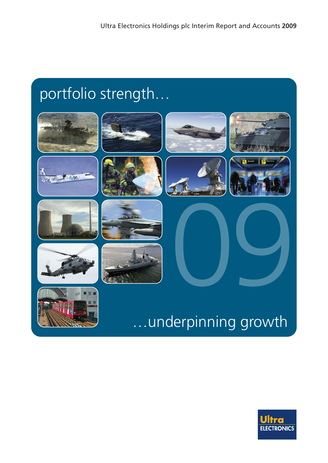# portfolio strength…



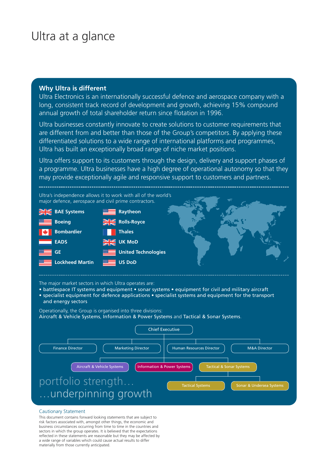### Ultra at a glance

### **Why Ultra is different**

Ultra Electronics is an internationally successful defence and aerospace company with a long, consistent track record of development and growth, achieving 15% compound annual growth of total shareholder return since flotation in 1996.

Ultra businesses constantly innovate to create solutions to customer requirements that are different from and better than those of the Group's competitors. By applying these differentiated solutions to a wide range of international platforms and programmes, Ultra has built an exceptionally broad range of niche market positions.

Ultra offers support to its customers through the design, delivery and support phases of a programme. Ultra businesses have a high degree of operational autonomy so that they may provide exceptionally agile and responsive support to customers and partners.



The major market sectors in which Ultra operates are:

- battlespace IT systems and equipment sonar systems equipment for civil and military aircraft
- specialist equipment for defence applications specialist systems and equipment for the transport and energy sectors

Operationally, the Group is organised into three divisions: Aircraft & Vehicle Systems, Information & Power Systems and Tactical & Sonar Systems.



#### Cautionary Statement

This document contains forward looking statements that are subject to risk factors associated with, amongst other things, the economic and business circumstances occurring from time to time in the countries and sectors in which the group operates. It is believed that the expectations reflected in these statements are reasonable but they may be affected by a wide range of variables which could cause actual results to differ materially from those currently anticipated.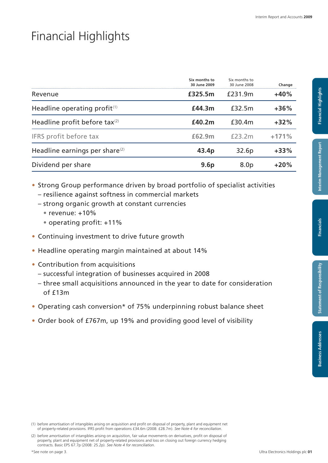### Financial Highlights

|                                            | Six months to<br>30 June 2009 | Six months to<br>30 June 2008 | Change  |
|--------------------------------------------|-------------------------------|-------------------------------|---------|
| Revenue                                    | £325.5m                       | £231.9m                       | $+40%$  |
| Headline operating profit $(1)$            | £44.3m                        | £32.5m                        | $+36%$  |
| Headline profit before tax $(2)$           | £40.2m                        | £30.4m                        | $+32\%$ |
| IFRS profit before tax                     | £62.9m                        | $f$ 23 $2m$                   | $+171%$ |
| Headline earnings per share <sup>(2)</sup> | 43.4p                         | 32.6p                         | $+33%$  |
| Dividend per share                         | 9.6 <sub>p</sub>              | 8.0 <sub>p</sub>              | $+20%$  |

• Strong Group performance driven by broad portfolio of specialist activities

- resilience against softness in commercial markets
- strong organic growth at constant currencies
	- $\bullet$  revenue:  $+10\%$
	- • operating profit: +11%
- Continuing investment to drive future growth
- Headline operating margin maintained at about 14%
- Contribution from acquisitions
	- successful integration of businesses acquired in 2008
	- three small acquisitions announced in the year to date for consideration  $of$   $f13m$
- Operating cash conversion\* of 75% underpinning robust balance sheet
- Order book of £767m, up 19% and providing good level of visibility

Financials

<sup>(2)</sup> before amortisation of intangibles arising on acquisition, fair value movements on derivatives, profit on disposal of property, plant and equipment net of property-related provisions and loss on closing out foreign currency hedging contracts. Basic EPS 67.7p (2008: 25.2p). *See Note 4 for reconciliation*.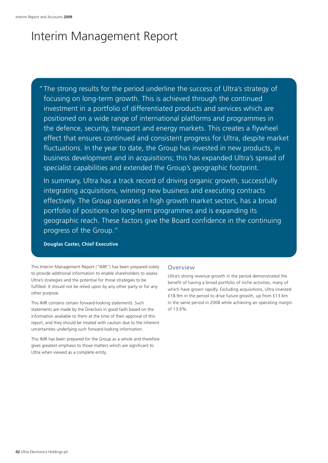## Interim Management Report

"The strong results for the period underline the success of Ultra's strategy of focusing on long-term growth. This is achieved through the continued investment in a portfolio of differentiated products and services which are positioned on a wide range of international platforms and programmes in the defence, security, transport and energy markets. This creates a flywheel effect that ensures continued and consistent progress for Ultra, despite market fluctuations. In the year to date, the Group has invested in new products, in business development and in acquisitions; this has expanded Ultra's spread of specialist capabilities and extended the Group's geographic footprint.

In summary, Ultra has a track record of driving organic growth, successfully integrating acquisitions, winning new business and executing contracts effectively. The Group operates in high growth market sectors, has a broad portfolio of positions on long-term programmes and is expanding its geographic reach. These factors give the Board confidence in the continuing progress of the Group."

**Douglas Caster, Chief Executive**

This Interim Management Report ("IMR") has been prepared solely to provide additional information to enable shareholders to assess Ultra's strategies and the potential for those strategies to be fulfilled. It should not be relied upon by any other party or for any other purpose.

This IMR contains certain forward-looking statements. Such statements are made by the Directors in good faith based on the information available to them at the time of their approval of this report, and they should be treated with caution due to the inherent uncertainties underlying such forward-looking information.

This IMR has been prepared for the Group as a whole and therefore gives greatest emphasis to those matters which are significant to Ultra when viewed as a complete entity.

#### **Overview**

Ultra's strong revenue growth in the period demonstrated the benefit of having a broad portfolio of niche activities, many of which have grown rapidly. Excluding acquisitions, Ultra invested £18.9m in the period to drive future growth, up from £13.6m in the same period in 2008 while achieving an operating margin of 13.6%.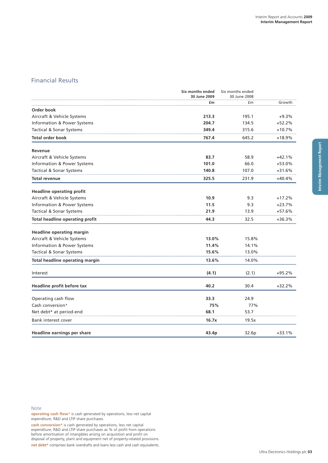### Financial Results

|                                        | Six months ended<br>30 June 2009 | Six months ended<br>30 June 2008 |          |
|----------------------------------------|----------------------------------|----------------------------------|----------|
|                                        | £m                               | £m                               | Growth   |
| Order book                             |                                  |                                  |          |
| Aircraft & Vehicle Systems             | 213.3                            | 195.1                            | $+9.3%$  |
| Information & Power Systems            | 204.7                            | 134.5                            | $+52.2%$ |
| Tactical & Sonar Systems               | 349.4                            | 315.6                            | $+10.7%$ |
| <b>Total order book</b>                | 767.4                            | 645.2                            | $+18.9%$ |
| Revenue                                |                                  |                                  |          |
| Aircraft & Vehicle Systems             | 83.7                             | 58.9                             | $+42.1%$ |
| Information & Power Systems            | 101.0                            | 66.0                             | $+53.0%$ |
| Tactical & Sonar Systems               | 140.8                            | 107.0                            | $+31.6%$ |
| Total revenue                          | 325.5                            | 231.9                            | $+40.4%$ |
| <b>Headline operating profit</b>       |                                  |                                  |          |
| Aircraft & Vehicle Systems             | 10.9                             | 9.3                              | $+17.2%$ |
| Information & Power Systems            | 11.5                             | 9.3                              | $+23.7%$ |
| Tactical & Sonar Systems               | 21.9                             | 13.9                             | +57.6%   |
| <b>Total headline operating profit</b> | 44.3                             | 32.5                             | $+36.3%$ |
| <b>Headline operating margin</b>       |                                  |                                  |          |
| Aircraft & Vehicle Systems             | 13.0%                            | 15.8%                            |          |
| Information & Power Systems            | 11.4%                            | 14.1%                            |          |
| Tactical & Sonar Systems               | 15.6%                            | 13.0%                            |          |
| Total headline operating margin        | 13.6%                            | 14.0%                            |          |
| Interest                               | (4.1)                            | (2.1)                            | $+95.2%$ |
| Headline profit before tax             | 40.2                             | 30.4                             | $+32.2%$ |
| Operating cash flow                    | 33.3                             | 24.9                             |          |
| Cash conversion*                       | 75%                              | 77%                              |          |
| Net debt* at period-end                | 68.1                             | 53.7                             |          |
| Bank interest cover                    | 16.7x                            | 19.5x                            |          |
| Headline earnings per share            | 43.4p                            | 32.6p                            | $+33.1%$ |

#### Note

**operating cash flow**\* is cash generated by operations, less net capital expenditure, R&D and LTIP share purchases.

**cash conversion\*** is cash generated by operations, less net capital expenditure, R&D and LTIP share purchases as % of profit from operations before amortisation of intangibles arising on acquisition and profit on disposal of property, plant and equipment net of property-related provisions. **net debt\*** comprises bank overdrafts and loans less cash and cash equivalents.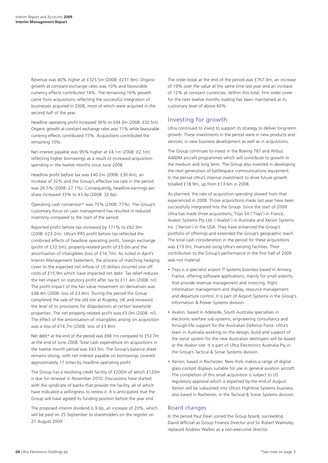Revenue was 40% higher at £325.5m (2008: £231.9m). Organic growth at constant exchange rates was 10% and favourable currency effects contributed 14%. The remaining 16% growth came from acquisitions reflecting the successful integration of businesses acquired in 2008, most of which were acquired in the second half of the year.

Headline operating profit increased 36% to £44.3m (2008: £32.5m). Organic growth at constant exchange rates was 11% while favourable currency effects contributed 15%. Acquisitions contributed the remaining 10%.

Net interest payable was 95% higher at £4.1m (2008: £2.1m) reflecting higher borrowings as a result of increased acquisition spending in the twelve months since June 2008.

Headline profit before tax was £40.2m (2008: £30.4m), an increase of 32% and the Group's effective tax rate in the period was 26.5% (2008: 27.1%). Consequently, headline earnings per share increased 33% to 43.4p (2008: 32.6p).

Operating cash conversion\* was 75% (2008: 77%). The Group's customary focus on cash management has resulted in reduced inventory compared to the start of the period.

Reported profit before tax increased by 171% to £62.9m (2008: £23.2m). Ultra's IFRS profit before tax reflected the combined effects of headline operating profit, foreign exchange (profit of £32.5m), property-related profit of £5.0m and the amortisation of intangibles (loss of £14.7m). As noted in April's Interim Management Statement, the process of matching hedging cover to the expected net inflow of US dollars incurred one off costs of £15.9m which have impacted net debt. Tax relief reduces the net impact on statutory profit after tax to £11.4m (2008: nil). The profit impact of the fair value movement on derivatives was £48.4m (2008: loss of £3.4m). During the period the Group completed the sale of the old site at Rugeley, UK and reviewed the level of its provisions for dilapidations at certain leasehold properties. The net property-related profit was £5.0m (2008: nil). The effect of the amortisation of intangibles arising on acquisition was a loss of £14.7m (2008: loss of £3.8m).

Net debt\* at the end of the period was £68.1m compared to £53.7m at the end of June 2008. Total cash expenditure on acquisitions in the twelve month period was £43.5m. The Group's balance sheet remains strong, with net interest payable on borrowings covered approximately 17 times by headline operating profit.

The Group has a revolving credit facility of £200m of which £120m is due for renewal in November 2010. Discussions have started with the syndicate of banks that provide the facility, all of which have indicated a willingness to renew it. It is anticipated that the Group will have agreed its funding position before the year end.

The proposed interim dividend is 9.6p, an increase of 20%, which will be paid on 25 September to shareholders on the register on 21 August 2009.

The order book at the end of the period was £767.4m, an increase of 19% over the value at the same time last year and an increase of 12% at constant currencies. Within this total, firm order cover for the next twelve months trading has been maintained at its customary level of above 60%.

### Investing for growth

Ultra continued to invest to support its strategy to deliver long-term growth. These investments in the period were in new products and services, in new business development as well as in acquisitions.

The Group continues to invest in the Boeing 787 and Airbus A400M aircraft programmes which will contribute to growth in the medium and long term. The Group also invested in developing the next generation of battlespace communications equipment. In the period Ultra's internal investment to drive future growth totalled £18.9m, up from £13.6m in 2008.

As planned, the rate of acquisition spending slowed from that experienced in 2008. Those acquisitions made last year have been successfully integrated into the Group. Since the start of 2009 Ultra has made three acquisitions; Tisys SA ('Tisys') in France; Avalon Systems Pty Ltd. ('Avalon') in Australia and Xerion Systems Inc. ('Xerion') in the USA. They have enhanced the Group's portfolio of offerings and extended the Group's geographic reach. The total cash consideration in the period for these acquisitions was £13.0m, financed using Ultra's existing facilities. Their contribution to the Group's performance in the first half of 2009 was not material.

- Tisys is a specialist airport IT systems business based in Annecy, France, offering software applications, mainly for small airports, that provide revenue management and invoicing, flight information management and display, resource management and departure control. It is part of Airport Systems in the Group's Information & Power Systems division.
- Avalon, based in Adelaide, South Australia specialises in electronic warfare sub-systems, engineering consultancy and through-life support for the Australian Defence Force. Ultra's team in Australia working on the design, build and support of the sonar system for the new Australian destroyers will be based at the Avalon site. It is part of Ultra Electronics Australia Pty in the Group's Tactical & Sonar Systems division.
- Xerion, based in Rochester, New York makes a range of digital glass-cockpit displays suitable for use in general aviation aircraft. The completion of this small acquisition is subject to US regulatory approval which is expected by the end of August. Xerion will be subsumed into Ultra's Flightline Systems business, also based in Rochester, in the Tactical & Sonar Systems division.

#### Board changes

In the period Paul Dean joined the Group board, succeeding David Jeffcoat as Group Finance Director and Sir Robert Walmsley replaced Andrew Walker as a non-executive director.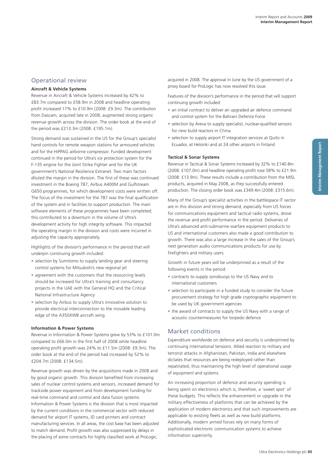### Operational review

#### **Aircraft & Vehicle Systems**

Revenue in Aircraft & Vehicle Systems increased by 42% to £83.7m compared to £58.9m in 2008 and headline operating profit increased 17% to £10.9m (2008: £9.3m). The contribution from Dascam, acquired late in 2008, augmented strong organic revenue growth across the division. The order book at the end of the period was £213.3m (2008: £195.1m).

Strong demand was sustained in the US for the Group's specialist hand controls for remote weapon stations for armoured vehicles and for the HiPPAG airborne compressor. Funded development continued in the period for Ultra's ice protection system for the F-135 engine for the Joint Strike Fighter and for the UK government's National Resilience Extranet. Two main factors diluted the margin in the division. The first of these was continued investment in the Boeing 787, Airbus A400M and Gulfstream G650 programmes, for which development costs were written off. The focus of the investment for the 787 was the final qualification of the system and in facilities to support production. The main software elements of these programmes have been completed; this contributed to a downturn in the volume of Ultra's development activity for high integrity software. This impacted the operating margin in the division and costs were incurred in adjusting the capacity appropriately.

Highlights of the division's performance in the period that will underpin continuing growth included:

- selection by Sumitomo to supply landing gear and steering control systems for Mitsubishi's new regional jet
- agreement with the customers that the resourcing levels should be increased for Ultra's training and consultancy projects in the UAE with the General HQ and the Critical National Infrastructure Agency
- selection by Airbus to supply Ultra's innovative solution to provide electrical interconnection to the movable leading edge of the A350XWB aircraft wing

#### **Information & Power Systems**

Revenue in Information & Power Systems grew by 53% to £101.0m compared to £66.0m in the first half of 2008 while headline operating profit growth was 24% to £11.5m (2008: £9.3m). The order book at the end of the period had increased by 52% to £204.7m (2008: £134.5m).

Revenue growth was driven by the acquisitions made in 2008 and by good organic growth. This division benefited from increasing sales of nuclear control systems and sensors, increased demand for trackside power equipment and from development funding for real-time command and control and data fusion systems. Information & Power Systems is the division that is most impacted by the current conditions in the commercial sector with reduced demand for airport IT systems, ID card printers and contract manufacturing services. In all areas, the cost base has been adjusted to match demand. Profit growth was also suppressed by delays in the placing of some contracts for highly classified work at ProLogic,

acquired in 2008. The approval in June by the US government of a proxy board for ProLogic has now resolved this issue.

Features of the division's performance in the period that will support continuing growth included:

- an initial contract to deliver an upgraded air defence command and control system for the Bahrain Defence Force
- selection by Areva to supply specialist, nuclear-qualified sensors for new build reactors in China
- selection to supply airport IT integration services at Ouito in Ecuador, at Helsinki and at 24 other airports in Finland

#### **Tactical & Sonar Systems**

Revenue in Tactical & Sonar Systems increased by 32% to £140.8m (2008: £107.0m) and headline operating profit rose 58% to £21.9m (2008: £13.9m). These results include a contribution from the MISL products, acquired in May 2008, as they successfully entered production. The closing order book was £349.4m (2008: £315.6m).

Many of the Group's specialist activities in the battlespace IT sector are in this division and strong demand, especially from US forces for communications equipment and tactical radio systems, drove the revenue and profit performance in the period. Deliveries of Ultra's advanced anti-submarine warfare equipment products to US and international customers also made a good contribution to growth. There was also a large increase in the sales of the Group's next generation audio communications products for use by firefighters and military users.

Growth in future years will be underpinned as a result of the following events in the period:

- contracts to supply sonobuoys to the US Navy and to international customers
- selection to participate in a funded study to consider the future procurement strategy for high grade cryptographic equipment to be used by UK government agencies
- the award of contracts to supply the US Navy with a range of acoustic countermeasures for torpedo defence

### Market conditions

Expenditure worldwide on defence and security is underpinned by continuing international tensions. Allied reaction to military and terrorist attacks in Afghanistan, Pakistan, India and elsewhere dictates that resources are being redeployed rather than repatriated, thus maintaining the high level of operational usage of equipment and systems.

An increasing proportion of defence and security spending is being spent on electronics which is, therefore, a 'sweet spot' of these budgets. This reflects the enhancement or upgrade in the military effectiveness of platforms that can be achieved by the application of modern electronics and that such improvements are applicable to existing fleets as well as new build platforms. Additionally, modern armed forces rely on many forms of sophisticated electronic communication systems to achieve information superiority.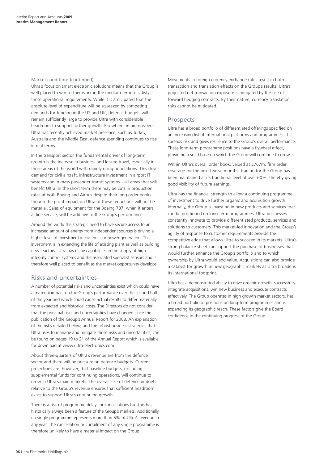#### Market conditions (continued)

Ultra's focus on smart electronic solutions means that the Group is well placed to win further work in the medium term to satisfy these operational requirements. While it is anticipated that the absolute level of expenditure will be squeezed by competing demands for funding in the US and UK, defence budgets will remain sufficiently large to provide Ultra with considerable headroom to support further growth. Elsewhere, in areas where Ultra has recently achieved market presence, such as Turkey, Australia and the Middle East, defence spending continues to rise in real terms.

In the transport sector, the fundamental driver of long-term growth is the increase in business and leisure travel, especially in those areas of the world with rapidly rising populations. This drives demand for civil aircraft, infrastructure investment in airport IT systems and in mass passenger transit systems – all areas that will benefit Ultra. In the short term there may be cuts in production rates at both Boeing and Airbus despite their long order books though the profit impact on Ultra of these reductions will not be material. Sales of equipment for the Boeing 787, when it enters airline service, will be additive to the Group's performance.

Around the world the strategic need to have secure access to an increased amount of energy from independent sources is driving a higher level of investment in civil nuclear power generation. This investment is in extending the life of existing plant as well as building new reactors. Ultra has niche capabilities in the supply of high integrity control systems and the associated specialist sensors and is therefore well placed to benefit as the market opportunity develops.

### Risks and uncertainties

A number of potential risks and uncertainties exist which could have a material impact on the Group's performance over the second half of the year and which could cause actual results to differ materially from expected and historical costs. The Directors do not consider that the principal risks and uncertainties have changed since the publication of the Group's Annual Report for 2008. An explanation of the risks detailed below, and the robust business strategies that Ultra uses to manage and mitigate those risks and uncertainties, can be found on pages 19 to 21 of the Annual Report which is available for download at www.ultra-electronics.com.

About three-quarters of Ultra's revenue are from the defence sector and there will be pressure on defence budgets. Current projections are, however, that baseline budgets, excluding supplemental funds for continuing operations, will continue to grow in Ultra's main markets. The overall size of defence budgets relative to the Group's revenue ensures that sufficient headroom exists to support Ultra's continuing growth.

There is a risk of programme delays or cancellations but this has historically always been a feature of the Group's markets. Additionally, no single programme represents more than 5% of Ultra's revenue in any year. The cancellation or curtailment of any single programme is therefore unlikely to have a material impact on the Group.

Movements in foreign currency exchange rates result in both transaction and translation effects on the Group's results. Ultra's projected net transaction exposure is mitigated by the use of forward hedging contracts. By their nature, currency translation risks cannot be mitigated.

#### Prospects

Ultra has a broad portfolio of differentiated offerings specified on an increasing list of international platforms and programmes. This spreads risk and gives resilience to the Group's overall performance. These long-term programme positions have a flywheel effect, providing a solid base on which the Group will continue to grow.

Within Ultra's overall order book, valued at £767m, firm order coverage for the next twelve months' trading for the Group has been maintained at its traditional level of over 60%, thereby giving good visibility of future earnings.

Ultra has the financial strength to allow a continuing programme of investment to drive further organic and acquisition growth. Internally, the Group is investing in new products and services that can be positioned on long-term programmes. Ultra businesses constantly innovate to provide differentiated products, services and solutions to customers. This market-led innovation and the Group's agility of response to customer requirements provide the competitive edge that allows Ultra to succeed in its markets. Ultra's strong balance sheet can support the purchase of businesses that would further enhance the Group's portfolio and to which ownership by Ultra would add value. Acquisitions can also provide a catalyst for growth in new geographic markets as Ultra broadens its international footprint.

Ultra has a demonstrated ability to drive organic growth, successfully integrate acquisitions, win new business and execute contracts effectively. The Group operates in high growth market sectors, has a broad portfolio of positions on long-term programmes and is expanding its geographic reach. These factors give the Board confidence in the continuing progress of the Group.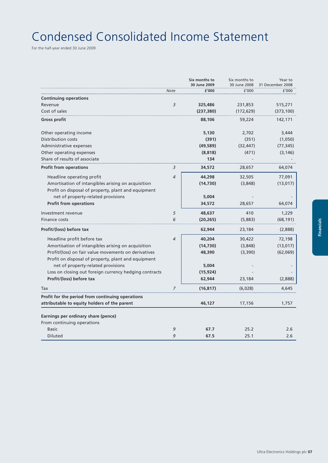## Condensed Consolidated Income Statement

For the half-year ended 30 June 2009

|                                                                                           |                | Six months to<br>30 June 2009 | Six months to<br>30 June 2008 | Year to<br>31 December 2008 |
|-------------------------------------------------------------------------------------------|----------------|-------------------------------|-------------------------------|-----------------------------|
|                                                                                           | Note           | £'000                         | £'000                         | £'000                       |
| <b>Continuing operations</b>                                                              |                |                               |                               |                             |
| Revenue                                                                                   | 3              | 325,486                       | 231,853                       | 515,271                     |
| Cost of sales                                                                             |                | (237, 380)                    | (172, 629)                    | (373, 100)                  |
| Gross profit                                                                              |                | 88,106                        | 59,224                        | 142,171                     |
| Other operating income                                                                    |                | 5,130                         | 2,702                         | 3,444                       |
| Distribution costs                                                                        |                | (391)                         | (351)                         | (1,050)                     |
| Administrative expenses                                                                   |                | (49, 589)                     | (32, 447)                     | (77, 345)                   |
| Other operating expenses                                                                  |                | (8, 818)                      | (471)                         | (3, 146)                    |
| Share of results of associate                                                             |                | 134                           |                               |                             |
| <b>Profit from operations</b>                                                             | 3              | 34,572                        | 28,657                        | 64,074                      |
| Headline operating profit                                                                 | $\overline{4}$ | 44,298                        | 32,505                        | 77,091                      |
| Amortisation of intangibles arising on acquisition                                        |                | (14, 730)                     | (3,848)                       | (13, 017)                   |
| Profit on disposal of property, plant and equipment                                       |                |                               |                               |                             |
| net of property-related provisions                                                        |                | 5,004                         |                               |                             |
| <b>Profit from operations</b>                                                             |                | 34,572                        | 28,657                        | 64,074                      |
| Investment revenue                                                                        | 5              | 48,637                        | 410                           | 1,229                       |
| Finance costs                                                                             | 6              | (20, 265)                     | (5,883)                       | (68, 191)                   |
| Profit/(loss) before tax                                                                  |                | 62,944                        | 23,184                        | (2,888)                     |
| Headline profit before tax                                                                | 4              | 40,204                        | 30,422                        | 72,198                      |
| Amortisation of intangibles arising on acquisition                                        |                | (14, 730)                     | (3,848)                       | (13, 017)                   |
| Profit/(loss) on fair value movements on derivatives                                      |                | 48,390                        | (3,390)                       | (62,069)                    |
| Profit on disposal of property, plant and equipment<br>net of property-related provisions |                | 5,004                         |                               |                             |
| Loss on closing out foreign currency hedging contracts                                    |                | (15, 924)                     |                               |                             |
| Profit/(loss) before tax                                                                  |                | 62,944                        | 23,184                        | (2,888)                     |
| Tax                                                                                       | 7              | (16, 817)                     | (6,028)                       | 4,645                       |
| Profit for the period from continuing operations                                          |                |                               |                               |                             |
| attributable to equity holders of the parent                                              |                | 46,127                        | 17,156                        | 1,757                       |
| Earnings per ordinary share (pence)                                                       |                |                               |                               |                             |
| From continuing operations                                                                |                |                               |                               |                             |
| <b>Basic</b>                                                                              | 9              | 67.7                          | 25.2                          | 2.6                         |
| Diluted                                                                                   | 9              | 67.5                          | 25.1                          | 2.6                         |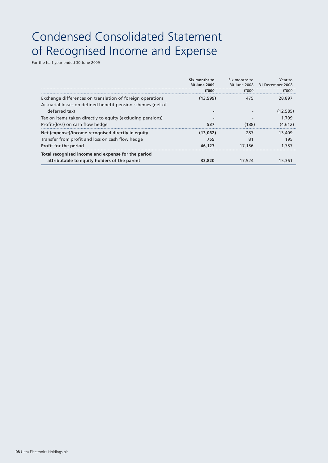## Condensed Consolidated Statement of Recognised Income and Expense

For the half-year ended 30 June 2009

|                                                                                                                          | Six months to<br>30 June 2009 | Six months to | Year to<br>30 June 2008 31 December 2008 |
|--------------------------------------------------------------------------------------------------------------------------|-------------------------------|---------------|------------------------------------------|
|                                                                                                                          | f'000                         | f'000         | f'000                                    |
| Exchange differences on translation of foreign operations<br>Actuarial losses on defined benefit pension schemes (net of | (13.599)                      | 475           | 28,897                                   |
| deferred tax)                                                                                                            |                               |               | (12.585)                                 |
| Tax on items taken directly to equity (excluding pensions)                                                               |                               |               | 1.709                                    |
| Profit/(loss) on cash flow hedge                                                                                         | 537                           | (188)         | (4.612)                                  |
| Net (expense)/income recognised directly in equity                                                                       | (13.062)                      | 287           | 13.409                                   |
| Transfer from profit and loss on cash flow hedge                                                                         | 755                           | 81            | 195                                      |
| Profit for the period                                                                                                    | 46.127                        | 17.156        | .757                                     |
| Total recognised income and expense for the period                                                                       |                               |               |                                          |
| attributable to equity holders of the parent                                                                             | 33.820                        | 17.524        |                                          |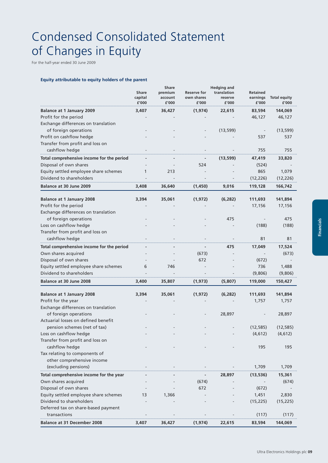## Condensed Consolidated Statement of Changes in Equity

For the half-year ended 30 June 2009

#### **Equity attributable to equity holders of the parent**

|                                                            | Share<br>capital<br>£'000 | <b>Share</b><br>premium<br>account<br>£'000 | <b>Reserve for</b><br>own shares<br>£'000 | <b>Hedging and</b><br>translation<br>reserve<br>£'000 | <b>Retained</b><br>earnings<br>£'000 | <b>Total equity</b><br>£'000 |
|------------------------------------------------------------|---------------------------|---------------------------------------------|-------------------------------------------|-------------------------------------------------------|--------------------------------------|------------------------------|
| <b>Balance at 1 January 2009</b>                           | 3,407                     | 36,427                                      | (1, 974)                                  | 22,615                                                | 83,594                               | 144,069                      |
| Profit for the period                                      |                           |                                             |                                           |                                                       | 46,127                               | 46,127                       |
| Exchange differences on translation                        |                           |                                             |                                           |                                                       |                                      |                              |
| of foreign operations                                      |                           |                                             |                                           | (13, 599)                                             |                                      | (13, 599)                    |
| Profit on cashflow hedge                                   |                           |                                             |                                           |                                                       | 537                                  | 537                          |
| Transfer from profit and loss on                           |                           |                                             |                                           |                                                       |                                      |                              |
| cashflow hedge                                             |                           |                                             |                                           |                                                       | 755                                  | 755                          |
| Total comprehensive income for the period                  |                           |                                             |                                           | (13,599)                                              | 47,419                               | 33,820                       |
| Disposal of own shares                                     |                           |                                             | 524                                       |                                                       | (524)                                |                              |
| Equity settled employee share schemes                      | 1                         | 213                                         |                                           |                                                       | 865                                  | 1,079                        |
| Dividend to shareholders                                   |                           |                                             |                                           |                                                       | (12, 226)                            | (12, 226)                    |
| Balance at 30 June 2009                                    | 3,408                     | 36,640                                      | (1,450)                                   | 9,016                                                 | 119,128                              | 166,742                      |
|                                                            |                           |                                             |                                           |                                                       |                                      |                              |
| <b>Balance at 1 January 2008</b>                           | 3,394                     | 35,061                                      | (1, 972)                                  | (6, 282)                                              | 111,693                              | 141,894                      |
| Profit for the period                                      |                           |                                             |                                           |                                                       | 17,156                               | 17,156                       |
| Exchange differences on translation                        |                           |                                             |                                           |                                                       |                                      |                              |
| of foreign operations                                      |                           |                                             |                                           | 475                                                   |                                      | 475                          |
| Loss on cashflow hedge<br>Transfer from profit and loss on |                           |                                             |                                           |                                                       | (188)                                | (188)                        |
| cashflow hedge                                             |                           |                                             |                                           |                                                       | 81                                   | 81                           |
|                                                            |                           |                                             |                                           |                                                       |                                      |                              |
| Total comprehensive income for the period                  |                           |                                             |                                           | 475                                                   | 17,049                               | 17,524                       |
| Own shares acquired                                        |                           |                                             | (673)                                     |                                                       |                                      | (673)                        |
| Disposal of own shares                                     |                           |                                             | 672                                       |                                                       | (672)                                |                              |
| Equity settled employee share schemes                      | 6                         | 746                                         |                                           |                                                       | 736                                  | 1,488                        |
| Dividend to shareholders                                   |                           |                                             |                                           |                                                       | (9,806)                              | (9,806)                      |
| <b>Balance at 30 June 2008</b>                             | 3,400                     | 35,807                                      | (1, 973)                                  | (5,807)                                               | 119,000                              | 150,427                      |
| <b>Balance at 1 January 2008</b>                           | 3,394                     | 35,061                                      | (1, 972)                                  | (6, 282)                                              | 111,693                              | 141,894                      |
| Profit for the year                                        |                           |                                             |                                           |                                                       | 1,757                                | 1,757                        |
| Exchange differences on translation                        |                           |                                             |                                           |                                                       |                                      |                              |
| of foreign operations                                      |                           |                                             |                                           | 28,897                                                |                                      | 28,897                       |
| Actuarial losses on defined benefit                        |                           |                                             |                                           |                                                       |                                      |                              |
| pension schemes (net of tax)                               |                           |                                             |                                           |                                                       | (12, 585)                            | (12, 585)                    |
| Loss on cashflow hedge                                     |                           |                                             |                                           |                                                       | (4, 612)                             | (4, 612)                     |
| Transfer from profit and loss on                           |                           |                                             |                                           |                                                       |                                      |                              |
| cashflow hedge                                             |                           |                                             |                                           |                                                       | 195                                  | 195                          |
| Tax relating to components of                              |                           |                                             |                                           |                                                       |                                      |                              |
| other comprehensive income                                 |                           |                                             |                                           |                                                       |                                      |                              |
| (excluding pensions)                                       |                           |                                             |                                           |                                                       | 1,709                                | 1,709                        |
| Total comprehensive income for the year                    |                           |                                             |                                           | 28,897                                                | (13, 536)                            | 15,361                       |
| Own shares acquired                                        |                           |                                             | (674)                                     |                                                       |                                      | (674)                        |
| Disposal of own shares                                     |                           |                                             | 672                                       |                                                       | (672)                                |                              |
| Equity settled employee share schemes                      | 13                        | 1,366                                       |                                           |                                                       | 1,451                                | 2,830                        |
| Dividend to shareholders                                   |                           |                                             |                                           |                                                       | (15, 225)                            | (15, 225)                    |
| Deferred tax on share-based payment                        |                           |                                             |                                           |                                                       |                                      |                              |
| transactions                                               |                           |                                             |                                           |                                                       | (117)                                | (117)                        |
| <b>Balance at 31 December 2008</b>                         | 3,407                     | 36,427                                      | (1, 974)                                  | 22,615                                                | 83,594                               | 144,069                      |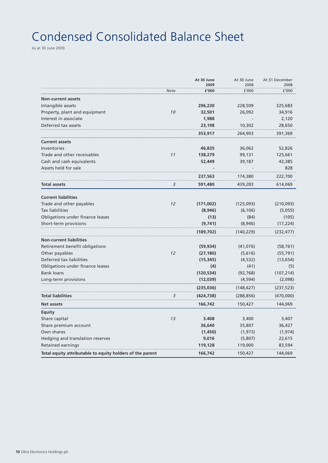## Condensed Consolidated Balance Sheet

As at 30 June 2009

|                                                           |             | At 30 June<br>2009 | At 30 June<br>2008 | At 31 December<br>2008 |
|-----------------------------------------------------------|-------------|--------------------|--------------------|------------------------|
|                                                           | <b>Note</b> | £'000              | £'000              | £'000                  |
| <b>Non-current assets</b>                                 |             |                    |                    |                        |
| Intangible assets                                         |             | 296,230            | 228,509            | 325,683                |
| Property, plant and equipment                             | 10          | 32,501             | 26,092             | 34,916                 |
| Interest in associate                                     |             | 1,988              |                    | 2,120                  |
| Deferred tax assets                                       |             | 23,198             | 10,302             | 28,650                 |
|                                                           |             | 353,917            | 264,903            | 391,369                |
| <b>Current assets</b>                                     |             |                    |                    |                        |
| Inventories                                               |             | 46,835             | 36,062             | 52,826                 |
| Trade and other receivables                               | 11          | 138,279            | 99,131             | 125,661                |
| Cash and cash equivalents                                 |             | 52,449             | 39,187             | 43,385                 |
| Assets held for sale                                      |             |                    |                    | 828                    |
|                                                           |             | 237,563            | 174,380            | 222,700                |
| <b>Total assets</b>                                       | 3           | 591,480            | 439,283            | 614,069                |
| <b>Current liabilities</b>                                |             |                    |                    |                        |
| Trade and other payables                                  | 12          | (171,002)          | (125,093)          | (210, 093)             |
| <b>Tax liabilities</b>                                    |             | (8,946)            | (6, 106)           | (5,055)                |
| Obligations under finance leases                          |             | (13)               | (84)               | (105)                  |
| Short-term provisions                                     |             | (9,741)            | (8, 946)           | (17, 224)              |
|                                                           |             | (189, 702)         | (140, 229)         | (232, 477)             |
| <b>Non-current liabilities</b>                            |             |                    |                    |                        |
| Retirement benefit obligations                            |             | (59, 934)          | (41, 076)          | (58, 761)              |
| Other payables                                            | 12          | (27, 180)          | (5,616)            | (55, 791)              |
| Deferred tax liabilities                                  |             | (15, 345)          | (4, 532)           | (13, 654)              |
| Obligations under finance leases                          |             | (4)                | (41)               | (5)                    |
| <b>Bank loans</b>                                         |             | (120, 534)         | (92, 768)          | (107, 214)             |
| Long-term provisions                                      |             | (12, 039)          | (4, 594)           | (2,098)                |
|                                                           |             | (235,036)          | (148,627)          | (237, 523)             |
| <b>Total liabilities</b>                                  | 3           | (424, 738)         | (288, 856)         | (470,000)              |
| Net assets                                                |             | 166,742            | 150,427            | 144,069                |
| <b>Equity</b>                                             |             |                    |                    |                        |
| Share capital                                             | 13          | 3.408              | 3,400              | 3,407                  |
| Share premium account                                     |             | 36,640             | 35,807             | 36,427                 |
| Own shares                                                |             | (1,450)            | (1, 973)           | (1, 974)               |
| Hedging and translation reserves                          |             | 9,016              | (5,807)            | 22,615                 |
| Retained earnings                                         |             | 119,128            | 119,000            | 83,594                 |
| Total equity attributable to equity holders of the parent |             | 166,742            | 150,427            | 144,069                |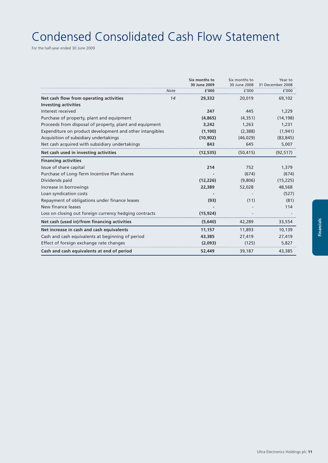## Condensed Consolidated Cash Flow Statement

For the half-year ended 30 June 2009

|                                                                        |      | Six months to<br>30 June 2009 | Six months to<br>30 June 2008 | Year to<br>31 December 2008 |
|------------------------------------------------------------------------|------|-------------------------------|-------------------------------|-----------------------------|
|                                                                        | Note | £'000                         | £'000                         | £'000                       |
| Net cash flow from operating activities<br><b>Investing activities</b> | 14   | 29,332                        | 20,019                        | 69,102                      |
| Interest received                                                      |      | 247                           | 445                           | 1,229                       |
| Purchase of property, plant and equipment                              |      | (4,865)                       | (4, 351)                      | (14, 198)                   |
| Proceeds from disposal of property, plant and equipment                |      | 3,242                         | 1,263                         | 1,231                       |
| Expenditure on product development and other intangibles               |      | (1, 100)                      | (2,388)                       | (1, 941)                    |
| Acquisition of subsidiary undertakings                                 |      | (10, 902)                     | (46, 029)                     | (83, 845)                   |
| Net cash acquired with subsidiary undertakings                         |      | 843                           | 645                           | 5,007                       |
| Net cash used in investing activities                                  |      | (12, 535)                     | (50, 415)                     | (92, 517)                   |
| <b>Financing activities</b>                                            |      |                               |                               |                             |
| Issue of share capital                                                 |      | 214                           | 752                           | 1,379                       |
| Purchase of Long-Term Incentive Plan shares                            |      |                               | (674)                         | (674)                       |
| Dividends paid                                                         |      | (12, 226)                     | (9,806)                       | (15, 225)                   |
| Increase in borrowings                                                 |      | 22,389                        | 52,028                        | 48,568                      |
| Loan syndication costs                                                 |      |                               |                               | (527)                       |
| Repayment of obligations under finance leases                          |      | (93)                          | (11)                          | (81)                        |
| New finance leases                                                     |      |                               |                               | 114                         |
| Loss on closing out foreign currency hedging contracts                 |      | (15, 924)                     |                               |                             |
| Net cash (used in)/from financing activities                           |      | (5,640)                       | 42,289                        | 33,554                      |
| Net increase in cash and cash equivalents                              |      | 11,157                        | 11,893                        | 10,139                      |
| Cash and cash equivalents at beginning of period                       |      | 43,385                        | 27,419                        | 27,419                      |
| Effect of foreign exchange rate changes                                |      | (2,093)                       | (125)                         | 5,827                       |
| Cash and cash equivalents at end of period                             |      | 52,449                        | 39,187                        | 43,385                      |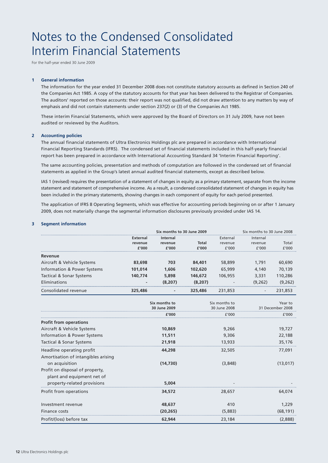## Notes to the Condensed Consolidated Interim Financial Statements

For the half-year ended 30 June 2009

#### **1 General information**

The information for the year ended 31 December 2008 does not constitute statutory accounts as defined in Section 240 of the Companies Act 1985. A copy of the statutory accounts for that year has been delivered to the Registrar of Companies. The auditors' reported on those accounts: their report was not qualified, did not draw attention to any matters by way of emphasis and did not contain statements under section 237(2) or (3) of the Companies Act 1985.

These interim Financial Statements, which were approved by the Board of Directors on 31 July 2009, have not been audited or reviewed by the Auditors.

#### **2 Accounting policies**

The annual financial statements of Ultra Electronics Holdings plc are prepared in accordance with International Financial Reporting Standards (IFRS). The condensed set of financial statements included in this half-yearly financial report has been prepared in accordance with International Accounting Standard 34 'Interim Financial Reporting'.

The same accounting policies, presentation and methods of computation are followed in the condensed set of financial statements as applied in the Group's latest annual audited financial statements, except as described below.

IAS 1 (revised) requires the presentation of a statement of changes in equity as a primary statement, separate from the income statement and statement of comprehensive income. As a result, a condensed consolidated statement of changes in equity has been included in the primary statements, showing changes in each component of equity for each period presented.

The application of IFRS 8 Operating Segments, which was effective for accounting periods beginning on or after 1 January 2009, does not materially change the segmental information disclosures previously provided under IAS 14.

#### **3 Segment information**

|                                                                  |          | Six months to 30 June 2009    |          |                               | Six months to 30 June 2008 |                             |
|------------------------------------------------------------------|----------|-------------------------------|----------|-------------------------------|----------------------------|-----------------------------|
|                                                                  | External | <b>Internal</b>               |          | External                      | Internal                   |                             |
|                                                                  | revenue  | revenue                       | Total    | revenue                       | revenue                    | Total                       |
|                                                                  | £'000    | £'000                         | £'000    | f'000                         | f'000                      | f'000                       |
| Revenue                                                          |          |                               |          |                               |                            |                             |
| Aircraft & Vehicle Systems                                       | 83,698   | 703                           | 84,401   | 58,899                        | 1,791                      | 60,690                      |
| <b>Information &amp; Power Systems</b>                           | 101,014  | 1,606                         | 102,620  | 65,999                        | 4,140                      | 70,139                      |
| <b>Tactical &amp; Sonar Systems</b>                              | 140,774  | 5,898                         | 146,672  | 106,955                       | 3,331                      | 110,286                     |
| Eliminations                                                     |          | (8, 207)                      | (8, 207) |                               | (9, 262)                   | (9,262)                     |
| Consolidated revenue                                             | 325,486  |                               | 325,486  | 231,853                       |                            | 231,853                     |
|                                                                  |          | Six months to<br>30 June 2009 |          | Six months to<br>30 June 2008 |                            | Year to<br>31 December 2008 |
|                                                                  |          | £'000                         | f'000    |                               | £'000                      |                             |
| <b>Profit from operations</b>                                    |          |                               |          |                               |                            |                             |
| Aircraft & Vehicle Systems                                       |          | 10,869                        |          | 9,266                         |                            | 19,727                      |
| <b>Information &amp; Power Systems</b>                           |          | 11,511                        |          | 9,306                         |                            | 22,188                      |
| <b>Tactical &amp; Sonar Systems</b>                              |          | 21,918                        |          | 13,933                        |                            | 35,176                      |
| Headline operating profit<br>Amortisation of intangibles arising |          | 44,298                        |          | 32,505                        |                            | 77,091                      |
| on acquisition<br>Profit on disposal of property,                |          | (14,730)                      |          | (3,848)                       |                            | (13, 017)                   |
| plant and equipment net of                                       |          |                               |          |                               |                            |                             |
| property-related provisions                                      |          | 5,004                         |          |                               |                            |                             |
| Profit from operations                                           |          | 34,572                        |          | 28,657                        |                            | 64,074                      |
| Investment revenue                                               |          | 48,637                        |          | 410                           |                            | 1,229                       |
| Finance costs                                                    |          | (20, 265)                     |          | (5,883)                       |                            | (68, 191)                   |
| Profit/(loss) before tax                                         |          | 62,944                        |          | 23,184                        |                            | (2,888)                     |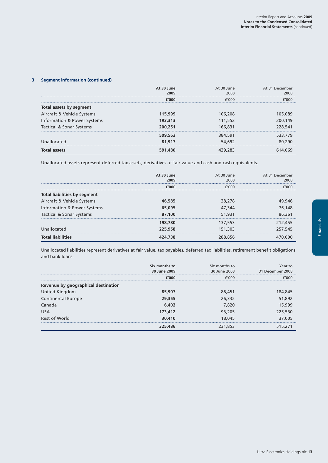#### **3 Segment information (continued)**

|                             | At 30 June<br>2009 | At 30 June<br>2008 | At 31 December<br>2008 |
|-----------------------------|--------------------|--------------------|------------------------|
|                             | f′000              | f'000              | f'NNN                  |
| Total assets by segment     |                    |                    |                        |
| Aircraft & Vehicle Systems  | 115,999            | 106,208            | 105,089                |
| Information & Power Systems | 193,313            | 111,552            | 200,149                |
| Tactical & Sonar Systems    | 200,251            | 166,831            | 228,541                |
|                             | 509,563            | 384,591            | 533,779                |
| Unallocated                 | 81,917             | 54,692             | 80,290                 |
| Total assets                | 591,480            |                    |                        |

Unallocated assets represent deferred tax assets, derivatives at fair value and cash and cash equivalents.

|                              | At 30 June<br>2009 | At 30 June<br>2008 | At 31 December<br>2008 |
|------------------------------|--------------------|--------------------|------------------------|
|                              | f'nnn              | f'nnn.             | 7000                   |
| Total liabilities by segment |                    |                    |                        |
| Aircraft & Vehicle Systems   | 46,585             | 38,278             | 49,946                 |
| Information & Power Systems  | 65,095             | 47,344             | 76,148                 |
| Tactical & Sonar Systems     | 87,100             | 51,931             | 86,361                 |
|                              | 198,780            | 137,553            | 212,455                |
| Unallocated                  | 225,958            | 151,303            | 257,545                |
| <b>Total liabilities</b>     |                    |                    |                        |

Unallocated liabilities represent derivatives at fair value, tax payables, deferred tax liabilities, retirement benefit obligations and bank loans.

|                                     | Six months to<br>30 June 2009 | Six months to<br>30 June 2008 | Year to<br>31 December 2008 |
|-------------------------------------|-------------------------------|-------------------------------|-----------------------------|
|                                     | f'000                         | f'000                         | F'OOO                       |
| Revenue by geographical destination |                               |                               |                             |
| United Kingdom                      | 85,907                        | 86,451                        | 184,845                     |
| <b>Continental Europe</b>           | 29,355                        | 26,332                        | 51,892                      |
| Canada                              | 6,402                         | 7.820                         | 15,999                      |
| <b>USA</b>                          | 173,412                       | 93,205                        | 225,530                     |
| Rest of World                       | 30,410                        | 18,045                        | 37,005                      |
|                                     | 325,486                       | 231,853                       | 515,271                     |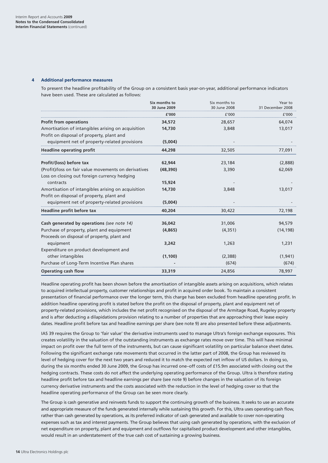#### **4 Additional performance measures**

To present the headline profitability of the Group on a consistent basis year-on-year, additional performance indicators have been used. These are calculated as follows:

|                                                      | Six months to<br>30 June 2009 | Six months to<br>30 June 2008 | Year to<br>31 December 2008 |
|------------------------------------------------------|-------------------------------|-------------------------------|-----------------------------|
|                                                      | f′000                         | f'000                         | f'000                       |
| <b>Profit from operations</b>                        | 34,572                        | 28,657                        | 64.074                      |
| Amortisation of intangibles arising on acquisition   | 14,730                        | 3,848                         | 13,017                      |
| Profit on disposal of property, plant and            |                               |                               |                             |
| equipment net of property-related provisions         | (5,004)                       |                               |                             |
| <b>Headline operating profit</b>                     | 44,298                        | 32,505                        | 77,091                      |
| Profit/(loss) before tax                             | 62,944                        | 23,184                        | (2,888)                     |
| (Profit)/loss on fair value movements on derivatives | (48, 390)                     | 3,390                         | 62,069                      |
| Loss on closing out foreign currency hedging         |                               |                               |                             |
| contracts                                            | 15,924                        |                               |                             |
| Amortisation of intangibles arising on acquisition   | 14,730                        | 3,848                         | 13,017                      |
| Profit on disposal of property, plant and            |                               |                               |                             |
| equipment net of property-related provisions         | (5,004)                       |                               |                             |
| Headline profit before tax                           | 40,204                        | 30,422                        | 72,198                      |
| Cash generated by operations (see note 14)           | 36,042                        | 31,006                        | 94,579                      |
| Purchase of property, plant and equipment            | (4,865)                       | (4, 351)                      | (14, 198)                   |
| Proceeds on disposal of property, plant and          |                               |                               |                             |
| equipment                                            | 3,242                         | 1,263                         | 1,231                       |
| Expenditure on product development and               |                               |                               |                             |
| other intangibles                                    | (1, 100)                      | (2,388)                       | (1, 941)                    |
| Purchase of Long-Term Incentive Plan shares          |                               | (674)                         | (674)                       |
| <b>Operating cash flow</b>                           | 33,319                        | 24,856                        | 78,997                      |

Headline operating profit has been shown before the amortisation of intangible assets arising on acquisitions, which relates to acquired intellectual property, customer relationships and profit in acquired order book. To maintain a consistent presentation of financial performance over the longer term, this charge has been excluded from headline operating profit. In addition headline operating profit is stated before the profit on the disposal of property, plant and equipment net of property-related provisions, which includes the net profit recognised on the disposal of the Armitage Road, Rugeley property and is after deducting a dilapidations provision relating to a number of properties that are approaching their lease expiry dates. Headline profit before tax and headline earnings per share (see note 9) are also presented before these adjustments.

IAS 39 requires the Group to 'fair value' the derivative instruments used to manage Ultra's foreign exchange exposures. This creates volatility in the valuation of the outstanding instruments as exchange rates move over time. This will have minimal impact on profit over the full term of the instruments, but can cause significant volatility on particular balance sheet dates. Following the significant exchange rate movements that occurred in the latter part of 2008, the Group has reviewed its level of hedging cover for the next two years and reduced it to match the expected net inflow of US dollars. In doing so, during the six months ended 30 June 2009, the Group has incurred one–off costs of £15.9m associated with closing out the hedging contracts. These costs do not affect the underlying operating performance of the Group. Ultra is therefore stating headline profit before tax and headline earnings per share (see note 9) before changes in the valuation of its foreign currency derivative instruments and the costs associated with the reduction in the level of hedging cover so that the headline operating performance of the Group can be seen more clearly.

The Group is cash generative and reinvests funds to support the continuing growth of the business. It seeks to use an accurate and appropriate measure of the funds generated internally while sustaining this growth. For this, Ultra uses operating cash flow, rather than cash generated by operations, as its preferred indicator of cash generated and available to cover non-operating expenses such as tax and interest payments. The Group believes that using cash generated by operations, with the exclusion of net expenditure on property, plant and equipment and outflows for capitalised product development and other intangibles, would result in an understatement of the true cash cost of sustaining a growing business.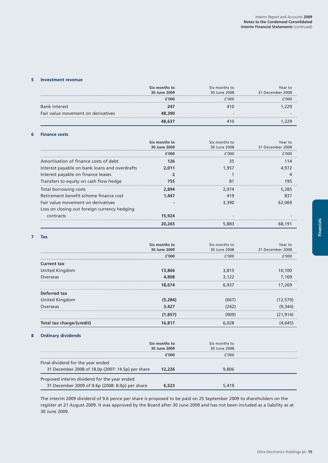#### **5 Investment revenue**

|                                    | Six months to<br>30 June 2009 | Six months to<br>30 June 2008 | 31 December 2008 |
|------------------------------------|-------------------------------|-------------------------------|------------------|
|                                    | f'nnn                         | 000                           |                  |
| ık interest                        | 247                           |                               |                  |
| Fair value movement on derivatives | 48.390                        |                               |                  |
|                                    |                               |                               |                  |

#### **6 Finance costs**

|                                               | Six months to<br>30 June 2009 | Six months to<br>30 June 2008 | Year to<br>31 December 2008 |
|-----------------------------------------------|-------------------------------|-------------------------------|-----------------------------|
|                                               | £'000                         | f'000                         | f'OOO                       |
| Amortisation of finance costs of debt         | 126                           | 35                            | 114                         |
| Interest payable on bank loans and overdrafts | 2.011                         | 1.957                         | 4.972                       |
| Interest payable on finance leases            |                               |                               |                             |
| Transfers to equity on cash flow hedge        | 755                           |                               | 195                         |
| Total borrowing costs                         | 2,894                         | 2.074                         | 5,285                       |
| Retirement benefit scheme finance cost        | 1.447                         | 419                           | 837                         |
| Fair value movement on derivatives            |                               | 3,390                         | 62.069                      |
| Loss on closing out foreign currency hedging  |                               |                               |                             |
| contracts                                     | 15,924                        |                               |                             |
|                                               | 20.265                        |                               | .191                        |

#### **7 Tax**

|                           | Six months to | Six months to | Year to          |
|---------------------------|---------------|---------------|------------------|
|                           | 30 June 2009  | 30 June 2008  | 31 December 2008 |
|                           | £'000         | f'000         | f'000            |
| <b>Current tax</b>        |               |               |                  |
| United Kingdom            | 13,866        | 3,815         | 10,100           |
| Overseas                  | 4,808         | 3,122         | 7.169            |
|                           | 18,674        | 6.937         | 17.269           |
| Deferred tax              |               |               |                  |
| United Kingdom            | (5,284)       |               | (12, 570)        |
| Overseas                  | 3,427         |               |                  |
|                           | (1, 857)      | פר)           | (21,914)         |
| Total tax charge/(credit) | 16,817        |               |                  |

### **8 Ordinary dividends**

|                                                   | Six months to<br>30 June 2009 | Six months to<br>30 June 2008 |  |
|---------------------------------------------------|-------------------------------|-------------------------------|--|
|                                                   | f'000                         | f'NNN                         |  |
| Final dividend for the year ended                 |                               |                               |  |
| 31 December 2008 of 18.0p (2007: 14.5p) per share | 12.226                        | 9,806                         |  |
| Proposed interim dividend for the year ended      |                               |                               |  |
| 31 December 2009 of 9.6p (2008: 8.0p) per share   |                               | 5419                          |  |

The interim 2009 dividend of 9.6 pence per share is proposed to be paid on 25 September 2009 to shareholders on the register at 21 August 2009. It was approved by the Board after 30 June 2009 and has not been included as a liability as at 30 June 2009.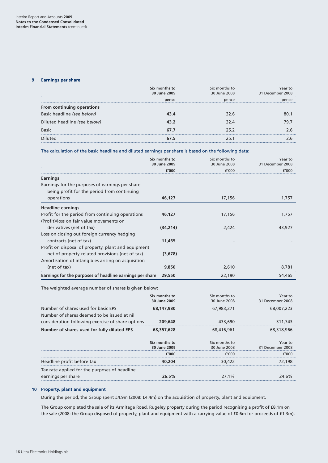#### **9 Earnings per share**

|                              | Six months to<br>30 June 2009 | Six months to<br>30 June 2008 | 31 December 2008 |
|------------------------------|-------------------------------|-------------------------------|------------------|
|                              | pence                         | pence                         |                  |
| From continuing operations   |                               |                               |                  |
| Basic headline (see below)   |                               | 32 R                          |                  |
| Diluted headline (see below) |                               |                               |                  |
| <b>Basic</b>                 |                               |                               |                  |
|                              |                               |                               |                  |

The calculation of the basic headline and diluted earnings per share is based on the following data:

|                                                                                                        | Six months to<br>30 June 2009 | Six months to<br>30 June 2008 | Year to<br>31 December 2008 |
|--------------------------------------------------------------------------------------------------------|-------------------------------|-------------------------------|-----------------------------|
|                                                                                                        | f′NNN                         | £000 f                        | 7000                        |
| <b>Earnings</b>                                                                                        |                               |                               |                             |
| Earnings for the purposes of earnings per share<br>being profit for the period from continuing         |                               |                               |                             |
| operations                                                                                             | 46,127                        | 17,156                        | 1,757                       |
| <b>Headline earnings</b>                                                                               |                               |                               |                             |
| Profit for the period from continuing operations                                                       | 46.127                        | 17,156                        | 1,757                       |
| (Profit)/loss on fair value movements on                                                               |                               |                               |                             |
| derivatives (net of tax)                                                                               | (34, 214)                     | 2.424                         | 43,927                      |
| Loss on closing out foreign currency hedging                                                           |                               |                               |                             |
| contracts (net of tax)                                                                                 | 11,465                        |                               |                             |
| Profit on disposal of property, plant and equipment<br>net of property-related provisions (net of tax) | (3,678)                       |                               |                             |
| Amortisation of intangibles arising on acquisition                                                     |                               |                               |                             |
| (net of tax)                                                                                           | 9,850                         | 2.610                         | 8.781                       |
| Earnings for the purposes of headline earnings per share                                               | 29,550                        | 22,190                        | 54,465                      |

The weighted average number of shares is given below:

|                                                                                    | Six months to<br>30 June 2009 | Six months to<br>30 June 2008 | Year to<br>31 December 2008 |
|------------------------------------------------------------------------------------|-------------------------------|-------------------------------|-----------------------------|
| Number of shares used for basic FPS<br>Number of shares deemed to be issued at nil | 68.147.980                    | 67,983,271                    | 68,007,223                  |
| consideration following exercise of share options                                  | 209,648                       | 433,690                       | 311,743                     |
| Number of shares used for fully diluted EPS                                        | 68.357.628                    | 68,416,961                    | 68,318,966                  |
|                                                                                    | Six months to<br>30 June 2009 | Six months to<br>30 June 2008 | Year to<br>31 December 2008 |
|                                                                                    | f'000                         | f'000                         | f'000                       |
| Headline profit before tax                                                         | 40.204                        | 30,422                        | 72,198                      |
| Tax rate applied for the purposes of headline<br>earnings per share                | 26.5%                         | 27 1%                         |                             |

#### **10 Property, plant and equipment**

During the period, the Group spent £4.9m (2008: £4.4m) on the acquisition of property, plant and equipment.

The Group completed the sale of its Armitage Road, Rugeley property during the period recognising a profit of £8.1m on the sale (2008: the Group disposed of property, plant and equipment with a carrying value of £0.6m for proceeds of £1.3m).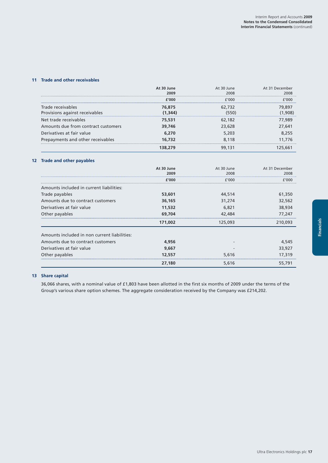#### **11 Trade and other receivables**

|                                     | At 30 June | At 30 June | At 31 December |
|-------------------------------------|------------|------------|----------------|
|                                     | 2009       | 2008       | 2008           |
|                                     | £1000      | f'000      | F'OOO          |
| Trade receivables                   | 76,875     | 62,732     | 79.897         |
| Provisions against receivables      | (1.344)    |            | .908           |
| Net trade receivables               | 75,531     | 62,182     | 77.989         |
| Amounts due from contract customers | 39,746     | 23,628     | 27.641         |
| Derivatives at fair value           | 6.270      | 5,203      | 8 255          |
| Prepayments and other receivables   | 16.732     | 8.118      | 11.776         |
|                                     |            |            |                |

#### **12 Trade and other payables**

|                                              | At 30 June | At 30 June | At 31 December |
|----------------------------------------------|------------|------------|----------------|
|                                              | 2009       | 2008       | 2008           |
|                                              | r′ooo      | 7000 F     |                |
| Amounts included in current liabilities:     |            |            |                |
| Trade payables                               | 53,601     | 44,514     | 61,350         |
| Amounts due to contract customers            | 36,165     | 31,274     | 32,562         |
| Derivatives at fair value                    | 11,532     | 6,821      | 38,934         |
| Other payables                               | 69,704     | 42,484     | 77,247         |
|                                              | 171,002    | 125,093    | 210,093        |
| Amounts included in non current liabilities: |            |            |                |
| Amounts due to contract customers            | 4,956      |            | 4,545          |
| Derivatives at fair value                    | 9,667      |            | 33,927         |
| Other payables                               | 12,557     | 5,616      | 17,319         |
|                                              | 27,180     | 5,616      | 55,791         |

#### **13 Share capital**

36,066 shares, with a nominal value of £1,803 have been allotted in the first six months of 2009 under the terms of the Group's various share option schemes. The aggregate consideration received by the Company was £214,202.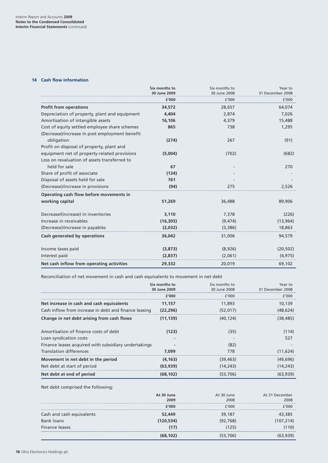#### **14 Cash flow information**

|                                                | Six months to<br>30 June 2009 | Six months to<br>30 June 2008 | Year to<br>31 December 2008 |
|------------------------------------------------|-------------------------------|-------------------------------|-----------------------------|
|                                                | £'000                         | f'000                         | £'000                       |
| <b>Profit from operations</b>                  | 34,572                        | 28,657                        | 64,074                      |
| Depreciation of property, plant and equipment  | 4,404                         | 2,874                         | 7,026                       |
| Amortisation of intangible assets              | 16,106                        | 4,379                         | 15,488                      |
| Cost of equity settled employee share schemes  | 865                           | 738                           | 1,295                       |
| (Decrease)/increase in post employment benefit |                               |                               |                             |
| obligation                                     | (274)                         | 267                           | (91)                        |
| Profit on disposal of property, plant and      |                               |                               |                             |
| equipment net of property-related provisions   | (5,004)                       | (702)                         | (682)                       |
| Loss on revaluation of assets transferred to   |                               |                               |                             |
| held for sale                                  | 67                            |                               | 270                         |
| Share of profit of associate                   | (134)                         |                               |                             |
| Disposal of assets held for sale               | 761                           |                               |                             |
| (Decrease)/increase in provisions              | (94)                          | 275                           | 2,526                       |
| Operating cash flow before movements in        |                               |                               |                             |
| working capital                                | 51,269                        | 36,488                        | 89,906                      |
| Decrease/(increase) in inventories             | 3,110                         | 7,378                         | (226)                       |
| Increase in receivables                        | (16, 305)                     | (9, 474)                      | (13, 964)                   |
| (Decrease)/increase in payables                | (2,032)                       | (3,386)                       | 18,863                      |
| Cash generated by operations                   | 36,042                        | 31,006                        | 94,579                      |
| Income taxes paid                              | (3,873)                       | (8,926)                       | (20, 502)                   |
| Interest paid                                  | (2,837)                       | (2,061)                       | (4, 975)                    |
| Net cash inflow from operating activities      | 29,332                        | 20,019                        | 69,102                      |

Reconciliation of net movement in cash and cash equivalents to movement in net debt

|                                                       | Six months to<br>30 June 2009 | Six months to<br>30 June 2008 | Year to<br>31 December 2008 |
|-------------------------------------------------------|-------------------------------|-------------------------------|-----------------------------|
|                                                       | f'000                         | f'000                         | f'000                       |
| Net increase in cash and cash equivalents             | 11,157                        | 11,893                        | 10,139                      |
| Cash inflow from increase in debt and finance leasing | (22, 296)                     | (52.017)                      | (48.624)                    |
| Change in net debt arising from cash flows            | (11.139)                      | (40.124)                      | (38.485)                    |
| Amortisation of finance costs of debt                 | (123)                         | (35)                          | (114)                       |
| Loan syndication costs                                |                               |                               | 527                         |
| Finance leases acquired with subsidiary undertakings  |                               | (82)                          |                             |
| <b>Translation differences</b>                        | 7.099                         | 778                           | (11.624)                    |
| Movement in net debt in the period                    | (4.163)                       | (39, 463)                     | (49, 696)                   |
| Net debt at start of period                           | (63.939)                      | (14,243)                      | (14,243)                    |
| Net debt at end of period                             | (68.102)                      | (53,706)                      | (63,939)                    |

Net debt comprised the following:

|                           | At 30 June<br>2009 | At 30 June<br>2008 | At 31 December<br>2008 |
|---------------------------|--------------------|--------------------|------------------------|
|                           | f'000              | f'000              | F'NNN                  |
| Cash and cash equivalents | 52,449             | 39,187             |                        |
| Bank loans                | (120.534)          | 92.768)            | 107.214                |
| Finance leases            |                    | 25)                | 10)                    |
|                           |                    |                    |                        |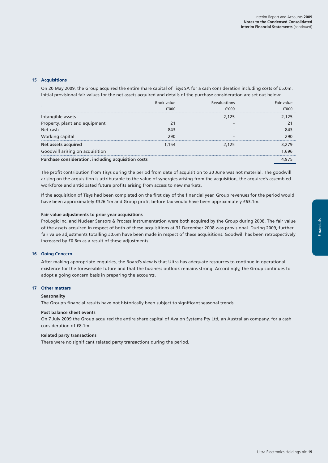#### **15 Acquisitions**

On 20 May 2009, the Group acquired the entire share capital of Tisys SA for a cash consideration including costs of £5.0m. Initial provisional fair values for the net assets acquired and details of the purchase consideration are set out below:

|                                                     | Book value | <b>Revaluations</b> | $V = 116$ |
|-----------------------------------------------------|------------|---------------------|-----------|
|                                                     | f'000      | F'NNN               | חחמי      |
| Intangible assets                                   |            | 2.125               | 25        |
| Property, plant and equipment                       |            |                     |           |
| Net cash                                            |            |                     |           |
| Working capital                                     | 290        |                     | 290       |
| Net assets acquired                                 | 1 154      | 2.125               | 79        |
| Goodwill arising on acquisition                     |            |                     |           |
| Purchase consideration, including acquisition costs |            |                     |           |

The profit contribution from Tisys during the period from date of acquisition to 30 June was not material. The goodwill arising on the acquisition is attributable to the value of synergies arising from the acquisition, the acquiree's assembled workforce and anticipated future profits arising from access to new markets.

If the acquisition of Tisys had been completed on the first day of the financial year, Group revenues for the period would have been approximately £326.1m and Group profit before tax would have been approximately £63.1m.

#### **Fair value adjustments to prior year acquisitions**

ProLogic Inc. and Nuclear Sensors & Process Instrumentation were both acquired by the Group during 2008. The fair value of the assets acquired in respect of both of these acquisitions at 31 December 2008 was provisional. During 2009, further fair value adjustments totalling £0.6m have been made in respect of these acquisitions. Goodwill has been retrospectively increased by £0.6m as a result of these adjustments.

#### **16 Going Concern**

After making appropriate enquiries, the Board's view is that Ultra has adequate resources to continue in operational existence for the foreseeable future and that the business outlook remains strong. Accordingly, the Group continues to adopt a going concern basis in preparing the accounts.

#### **17 Other matters**

#### **Seasonality**

The Group's financial results have not historically been subject to significant seasonal trends.

#### **Post balance sheet events**

On 7 July 2009 the Group acquired the entire share capital of Avalon Systems Pty Ltd, an Australian company, for a cash consideration of £8.1m.

#### **Related party transactions**

There were no significant related party transactions during the period.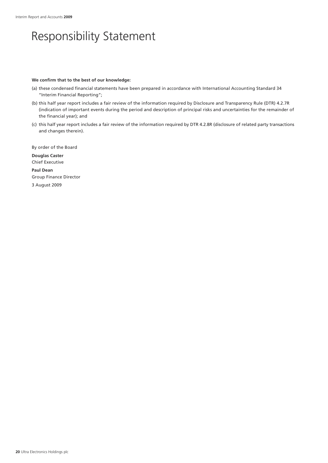## Responsibility Statement

#### **We confirm that to the best of our knowledge:**

- (a) these condensed financial statements have been prepared in accordance with International Accounting Standard 34 "Interim Financial Reporting";
- (b) this half year report includes a fair review of the information required by Disclosure and Transparency Rule (DTR) 4.2.7R (indication of important events during the period and description of principal risks and uncertainties for the remainder of the financial year); and
- (c) this half year report includes a fair review of the information required by DTR 4.2.8R (disclosure of related party transactions and changes therein).

By order of the Board **Douglas Caster** Chief Executive

**Paul Dean** Group Finance Director

3 August 2009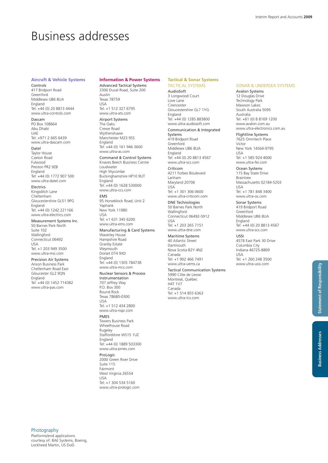### Business addresses

#### **Aircraft & Vehicle Systems**

Controls 417 Bridport Road Greenford Middlesex UB6 8UA England Tel: +44 (0) 20 8813 4444 www.ultra-controls.com

Dascam PO Box 108664 Abu Dhabi  $\overline{U}$ Tel: +971 2 665 6439 www.ultra-dascam.com

Datel Taylor House Caxton Road Fulwood Preston PR2 9ZB England

Tel: +44 (0) 1772 907 500 www.ultra-datel.com Electrics Kingsditch Lane Cheltenham Gloucestershire GL51 9PG England Tel: +44 (0) 1242 221166 www.ultra-electrics.com

Measurement Systems Inc. 50 Barnes Park North Suite 102 Wallingford Connecticut 06492 USA Tel: +1 203 949 3500 www.ultra-msi.com

Precision Air Systems Anson Business Park Cheltenham Road East Gloucester GL2 9QN England Tel: +44 (0) 1452 714382 www.ultra-pas.com

#### **Information & Power Systems**

Advanced Tactical Systems 3300 Duval Road, Suite 200 Austin Texas 78759 USA Tel: +1 512 327 6795 www.ultra-ats.com

#### Airport Systems

The Oaks Crewe Road Wythenshawe Manchester M23 9SS England Tel: +44 (0) 161 946 3600 www.ultra-as.com Command & Control Systems Knaves Beech Business Centre Loudwater High Wycombe Buckinghamshire HP10 9UT **England** Tel: +44 (0) 1628 530000 www.ultra-ccs.com EMS 95 Horseblock Road, Unit 2 Yaphank New York 11980 USA Tel: +1 631 345 6200 www.ultra-ems.com Manufacturing & Card Systems Waverley House Hampshire Road Granby Estate **Weymouth** Dorset DT4 9XD England Tel: +44 (0) 1305 784738 www.ultra-mcs.com

Nuclear Sensors & Process Instrumentation 707 Jeffrey Way P.O. Box 300 Round Rock Texas 78680-0300 USA Tel: +1 512 434 2800

www.ultra-nspi.com PMES Towers Business Park Wheelhouse Road Rugeley Staffordshire WS15 1UZ England Tel: +44 (0) 1889 503300 www.ultra-pmes.com ProLogic 2000 Green River Drive

Suite 115 Fairmont West Virginia 26554 USA Tel: +1 304 534 5160 www.ultra-prologic.com TACTICAL SYSTEMS AudioSoft 3 Longwood Court Love Lane Cirencester Gloucestershire GL7 1YG England Tel: +44 (0) 1285 883800 www.ultra-audiosoft.com

#### Communication & Integrated

Systems 419 Bridport Road Greenford Middlesex UB6 8UA England Tel: +44 (0) 20 8813 4567 www.ultra-scs.com

Criticom 4211 Forbes Boulevard Lanham Maryland 20706 USA Tel: +1 301 306 0600

www.ultra-criticom.com DNE Technologies 50 Barnes Park North Wallingford Connecticut 06492-5912 USA Tel: +1 203 265 7151 www.ultra-dne.com

Maritime Systems 40 Atlantic Street Dartmouth Nova Scotia B2Y 4N2 Canada Tel: +1 902 466 7491 www.ultra-uems.ca

Tactical Communication Systems 5990 Côte de Liesse Montreal, Québec H4T 1V7 Canada Tel: +1 514 855 6363 www.ultra-tcs.com

#### SONAR & UNDERSEA SYSTEMS

Avalon Systems 12 Douglas Drive Technology Park Mawson Lakes South Australia 5095 Australia Tel: +61 (0) 8 8169 1200 www.avalon.com.au www.ultra-electronics.com.au

Flightline Systems 7625 Omnitech Place Victor New York 14564-9795 USA

Tel: +1 585 924 4000 www.ultra-fei.com

Ocean Systems 115 Bay State Drive Braintree Massachusetts 02184-5203 USA Tel: +1 781 848 3400 www.ultra-os.com

Sonar Systems 419 Bridport Road Greenford Middlesex UB6 8UA England Tel: +44 (0) 20 8813 4567 www.ultra-scs.com USSI

4578 East Park 30 Drive Columbia City Indiana 46725-8869 USA Tel: +1 260 248 3500 www.ultra-ussi.com

Statement of Responsibility **Statement of Responsibility**